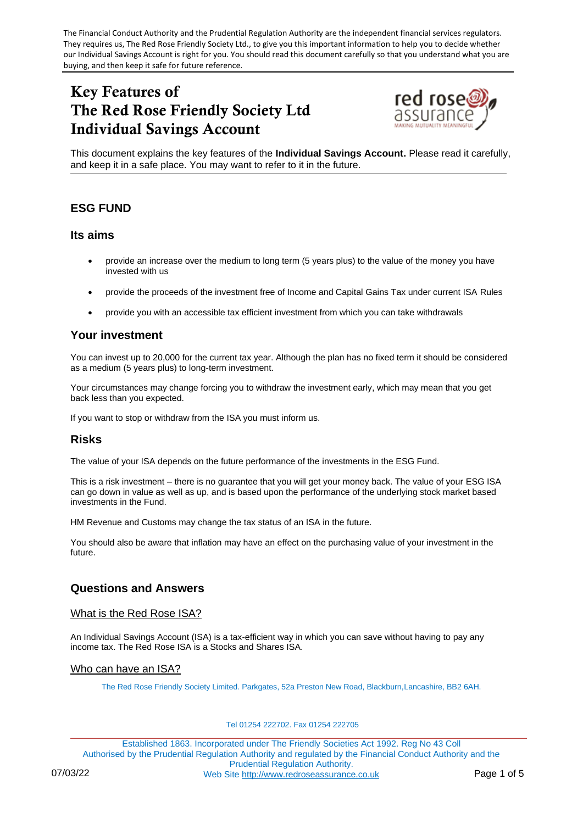The Financial Conduct Authority and the Prudential Regulation Authority are the independent financial services regulators. They requires us, The Red Rose Friendly Society Ltd., to give you this important information to help you to decide whether our Individual Savings Account is right for you. You should read this document carefully so that you understand what you are buying, and then keep it safe for future reference.

# Key Features of The Red Rose Friendly Society Ltd Individual Savings Account



This document explains the key features of the **Individual Savings Account.** Please read it carefully, and keep it in a safe place. You may want to refer to it in the future.

## **ESG FUND**

## **Its aims**

- provide an increase over the medium to long term (5 years plus) to the value of the money you have invested with us
- provide the proceeds of the investment free of Income and Capital Gains Tax under current ISA Rules
- provide you with an accessible tax efficient investment from which you can take withdrawals

## **Your investment**

You can invest up to 20,000 for the current tax year. Although the plan has no fixed term it should be considered as a medium (5 years plus) to long-term investment.

Your circumstances may change forcing you to withdraw the investment early, which may mean that you get back less than you expected.

If you want to stop or withdraw from the ISA you must inform us.

## **Risks**

The value of your ISA depends on the future performance of the investments in the ESG Fund.

This is a risk investment – there is no guarantee that you will get your money back. The value of your ESG ISA can go down in value as well as up, and is based upon the performance of the underlying stock market based investments in the Fund.

HM Revenue and Customs may change the tax status of an ISA in the future.

You should also be aware that inflation may have an effect on the purchasing value of your investment in the future.

## **Questions and Answers**

## What is the Red Rose ISA?

An Individual Savings Account (ISA) is a tax-efficient way in which you can save without having to pay any income tax. The Red Rose ISA is a Stocks and Shares ISA.

### Who can have an ISA?

The Red Rose Friendly Society Limited. Parkgates, 52a Preston New Road, Blackburn,Lancashire, BB2 6AH.

#### Tel 01254 222702. Fax 01254 222705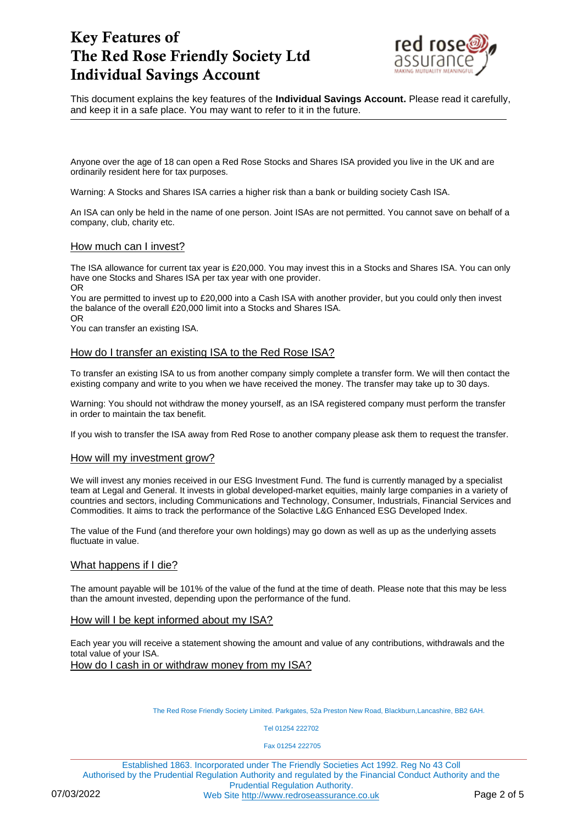

This document explains the key features of the **Individual Savings Account.** Please read it carefully, and keep it in a safe place. You may want to refer to it in the future.

Anyone over the age of 18 can open a Red Rose Stocks and Shares ISA provided you live in the UK and are ordinarily resident here for tax purposes.

Warning: A Stocks and Shares ISA carries a higher risk than a bank or building society Cash ISA.

An ISA can only be held in the name of one person. Joint ISAs are not permitted. You cannot save on behalf of a company, club, charity etc.

### How much can I invest?

The ISA allowance for current tax year is £20,000. You may invest this in a Stocks and Shares ISA. You can only have one Stocks and Shares ISA per tax year with one provider. OR

You are permitted to invest up to £20,000 into a Cash ISA with another provider, but you could only then invest the balance of the overall £20,000 limit into a Stocks and Shares ISA.

OR

You can transfer an existing ISA.

### How do I transfer an existing ISA to the Red Rose ISA?

To transfer an existing ISA to us from another company simply complete a transfer form. We will then contact the existing company and write to you when we have received the money. The transfer may take up to 30 days.

Warning: You should not withdraw the money yourself, as an ISA registered company must perform the transfer in order to maintain the tax benefit.

If you wish to transfer the ISA away from Red Rose to another company please ask them to request the transfer.

### How will my investment grow?

We will invest any monies received in our ESG Investment Fund. The fund is currently managed by a specialist team at Legal and General. It invests in global developed-market equities, mainly large companies in a variety of countries and sectors, including Communications and Technology, Consumer, Industrials, Financial Services and Commodities. It aims to track the performance of the Solactive L&G Enhanced ESG Developed Index.

The value of the Fund (and therefore your own holdings) may go down as well as up as the underlying assets fluctuate in value.

## What happens if I die?

The amount payable will be 101% of the value of the fund at the time of death. Please note that this may be less than the amount invested, depending upon the performance of the fund.

### How will I be kept informed about my ISA?

Each year you will receive a statement showing the amount and value of any contributions, withdrawals and the total value of your ISA. How do I cash in or withdraw money from my ISA?

The Red Rose Friendly Society Limited. Parkgates, 52a Preston New Road, Blackburn,Lancashire, BB2 6AH.

Tel 01254 222702

Fax 01254 222705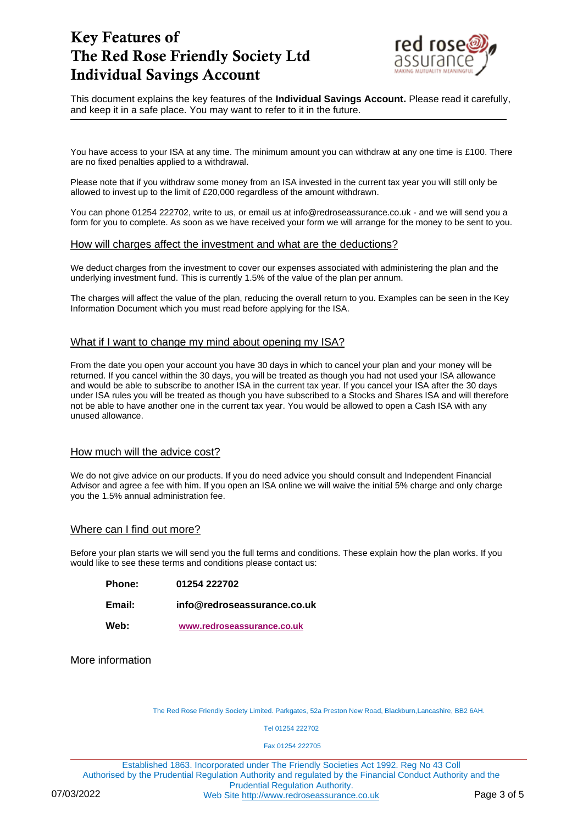

This document explains the key features of the **Individual Savings Account.** Please read it carefully, and keep it in a safe place. You may want to refer to it in the future.

You have access to your ISA at any time. The minimum amount you can withdraw at any one time is £100. There are no fixed penalties applied to a withdrawal.

Please note that if you withdraw some money from an ISA invested in the current tax year you will still only be allowed to invest up to the limit of £20,000 regardless of the amount withdrawn.

You can phone 01254 222702, write to us, or email us at info@redroseassurance.co.uk - and we will send you a form for you to complete. As soon as we have received your form we will arrange for the money to be sent to you.

### How will charges affect the investment and what are the deductions?

We deduct charges from the investment to cover our expenses associated with administering the plan and the underlying investment fund. This is currently 1.5% of the value of the plan per annum.

The charges will affect the value of the plan, reducing the overall return to you. Examples can be seen in the Key Information Document which you must read before applying for the ISA.

### What if I want to change my mind about opening my ISA?

From the date you open your account you have 30 days in which to cancel your plan and your money will be returned. If you cancel within the 30 days, you will be treated as though you had not used your ISA allowance and would be able to subscribe to another ISA in the current tax year. If you cancel your ISA after the 30 days under ISA rules you will be treated as though you have subscribed to a Stocks and Shares ISA and will therefore not be able to have another one in the current tax year. You would be allowed to open a Cash ISA with any unused allowance.

### How much will the advice cost?

We do not give advice on our products. If you do need advice you should consult and Independent Financial Advisor and agree a fee with him. If you open an ISA online we will waive the initial 5% charge and only charge you the 1.5% annual administration fee.

### Where can I find out more?

Before your plan starts we will send you the full terms and conditions. These explain how the plan works. If you would like to see these terms and conditions please contact us:

- **Phone: 01254 222702**
- **Email: info@redroseassurance.co.uk**
- **Web: [www.redroseassurance.co.uk](http://www.redroseassurance.co.uk/)**

More information

The Red Rose Friendly Society Limited. Parkgates, 52a Preston New Road, Blackburn,Lancashire, BB2 6AH.

Tel 01254 222702

Fax 01254 222705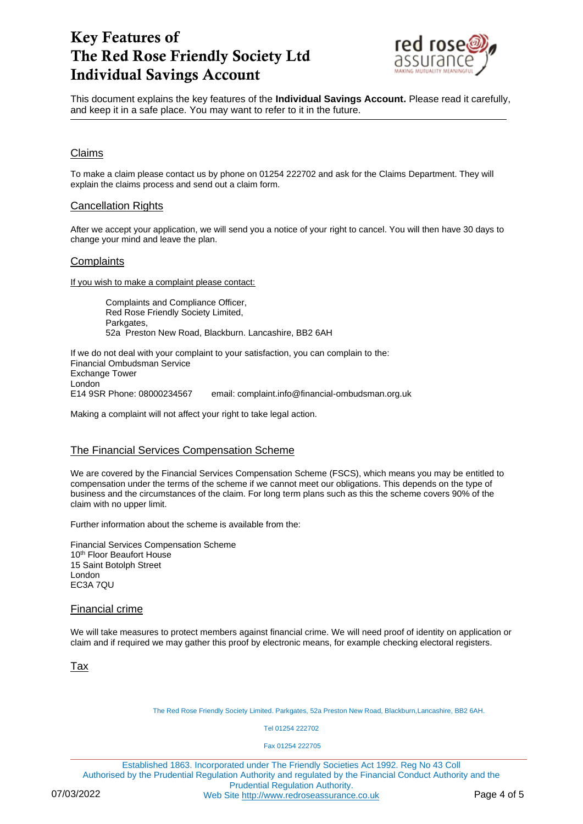

This document explains the key features of the **Individual Savings Account.** Please read it carefully, and keep it in a safe place. You may want to refer to it in the future.

## Claims

To make a claim please contact us by phone on 01254 222702 and ask for the Claims Department. They will explain the claims process and send out a claim form.

### Cancellation Rights

After we accept your application, we will send you a notice of your right to cancel. You will then have 30 days to change your mind and leave the plan.

## **Complaints**

If you wish to make a complaint please contact:

Complaints and Compliance Officer, Red Rose Friendly Society Limited, Parkgates, 52a Preston New Road, Blackburn. Lancashire, BB2 6AH

If we do not deal with your complaint to your satisfaction, you can complain to the: Financial Ombudsman Service Exchange Tower London E14 9SR Phone: 08000234567 email: complaint.info@financial-ombudsman.org.uk

Making a complaint will not affect your right to take legal action.

## The Financial Services Compensation Scheme

We are covered by the Financial Services Compensation Scheme (FSCS), which means you may be entitled to compensation under the terms of the scheme if we cannot meet our obligations. This depends on the type of business and the circumstances of the claim. For long term plans such as this the scheme covers 90% of the claim with no upper limit.

Further information about the scheme is available from the:

Financial Services Compensation Scheme 10<sup>th</sup> Floor Beaufort House 15 Saint Botolph Street London EC3A 7QU

### Financial crime

We will take measures to protect members against financial crime. We will need proof of identity on application or claim and if required we may gather this proof by electronic means, for example checking electoral registers.

Tax

The Red Rose Friendly Society Limited. Parkgates, 52a Preston New Road, Blackburn,Lancashire, BB2 6AH.

Tel 01254 222702

Fax 01254 222705

Established 1863. Incorporated under The Friendly Societies Act 1992. Reg No 43 Coll Authorised by the Prudential Regulation Authority and regulated by the Financial Conduct Authority and the Prudential Regulation Authority. 07/03/2022 Web Site [http://www.redroseassurance.co.uk](http://www.redroseassurance.co.uk/) Page 4 of 5